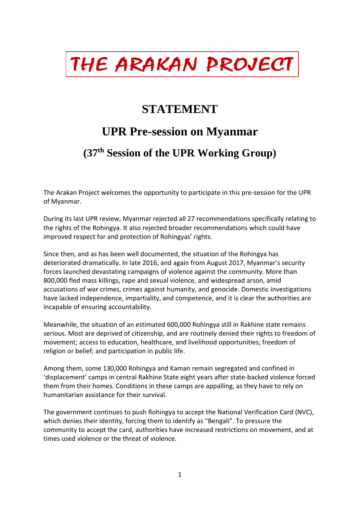## THE ARAKAN PROJECT

## **STATEMENT**

## **UPR Pre-session on Myanmar**

## **(37th Session of the UPR Working Group)**

The Arakan Project welcomes the opportunity to participate in this pre-session for the UPR of Myanmar.

During its last UPR review, Myanmar rejected all 27 recommendations specifically relating to the rights of the Rohingya. It also rejected broader recommendations which could have improved respect for and protection of Rohingyas' rights.

Since then, and as has been well documented, the situation of the Rohingya has deteriorated dramatically. In late 2016, and again from August 2017, Myanmar's security forces launched devastating campaigns of violence against the community. More than 800,000 fled mass killings, rape and sexual violence, and widespread arson, amid accusations of war crimes, crimes against humanity, and genocide. Domestic investigations have lacked independence, impartiality, and competence, and it is clear the authorities are incapable of ensuring accountability.

Meanwhile, the situation of an estimated 600,000 Rohingya still in Rakhine state remains serious. Most are deprived of citizenship, and are routinely denied their rights to freedom of movement; access to education, healthcare, and livelihood opportunities; freedom of religion or belief; and participation in public life.

Among them, some 130,000 Rohingya and Kaman remain segregated and confined in 'displacement' camps in central Rakhine State eight years after state-backed violence forced them from their homes. Conditions in these camps are appalling, as they have to rely on humanitarian assistance for their survival.

The government continues to push Rohingya to accept the National Verification Card (NVC), which denies their identity, forcing them to identify as "Bengali". To pressure the community to accept the card, authorities have increased restrictions on movement, and at times used violence or the threat of violence.